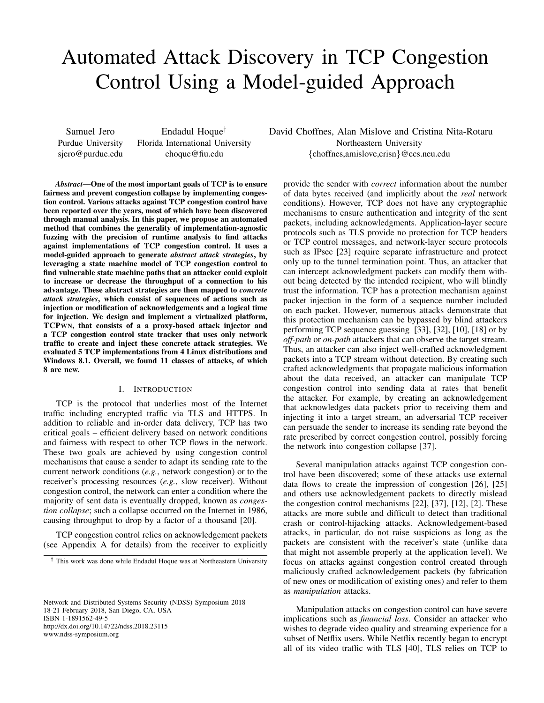# Automated Attack Discovery in TCP Congestion Control Using a Model-guided Approach

Samuel Jero Purdue University sjero@purdue.edu

Endadul Hoque† Florida International University ehoque@fiu.edu

*Abstract*—One of the most important goals of TCP is to ensure fairness and prevent congestion collapse by implementing congestion control. Various attacks against TCP congestion control have been reported over the years, most of which have been discovered through manual analysis. In this paper, we propose an automated method that combines the generality of implementation-agnostic fuzzing with the precision of runtime analysis to find attacks against implementations of TCP congestion control. It uses a model-guided approach to generate *abstract attack strategies*, by leveraging a state machine model of TCP congestion control to find vulnerable state machine paths that an attacker could exploit to increase or decrease the throughput of a connection to his advantage. These abstract strategies are then mapped to *concrete attack strategies*, which consist of sequences of actions such as injection or modification of acknowledgements and a logical time for injection. We design and implement a virtualized platform, TCPWN, that consists of a a proxy-based attack injector and a TCP congestion control state tracker that uses only network traffic to create and inject these concrete attack strategies. We evaluated 5 TCP implementations from 4 Linux distributions and Windows 8.1. Overall, we found 11 classes of attacks, of which 8 are new.

## I. INTRODUCTION

TCP is the protocol that underlies most of the Internet traffic including encrypted traffic via TLS and HTTPS. In addition to reliable and in-order data delivery, TCP has two critical goals – efficient delivery based on network conditions and fairness with respect to other TCP flows in the network. These two goals are achieved by using congestion control mechanisms that cause a sender to adapt its sending rate to the current network conditions (*e.g.*, network congestion) or to the receiver's processing resources (*e.g.*, slow receiver). Without congestion control, the network can enter a condition where the majority of sent data is eventually dropped, known as *congestion collapse*; such a collapse occurred on the Internet in 1986, causing throughput to drop by a factor of a thousand [20].

TCP congestion control relies on acknowledgement packets (see Appendix A for details) from the receiver to explicitly

† This work was done while Endadul Hoque was at Northeastern University

Network and Distributed Systems Security (NDSS) Symposium 2018 18-21 February 2018, San Diego, CA, USA ISBN 1-1891562-49-5 http://dx.doi.org/10.14722/ndss.2018.23115 www.ndss-symposium.org

David Choffnes, Alan Mislove and Cristina Nita-Rotaru Northeastern University {choffnes,amislove,crisn}@ccs.neu.edu

provide the sender with *correct* information about the number of data bytes received (and implicitly about the *real* network conditions). However, TCP does not have any cryptographic mechanisms to ensure authentication and integrity of the sent packets, including acknowledgments. Application-layer secure protocols such as TLS provide no protection for TCP headers or TCP control messages, and network-layer secure protocols such as IPsec [23] require separate infrastructure and protect only up to the tunnel termination point. Thus, an attacker that can intercept acknowledgment packets can modify them without being detected by the intended recipient, who will blindly trust the information. TCP has a protection mechanism against packet injection in the form of a sequence number included on each packet. However, numerous attacks demonstrate that this protection mechanism can be bypassed by blind attackers performing TCP sequence guessing [33], [32], [10], [18] or by *off-path* or *on-path* attackers that can observe the target stream. Thus, an attacker can also inject well-crafted acknowledgment packets into a TCP stream without detection. By creating such crafted acknowledgments that propagate malicious information about the data received, an attacker can manipulate TCP congestion control into sending data at rates that benefit the attacker. For example, by creating an acknowledgement that acknowledges data packets prior to receiving them and injecting it into a target stream, an adversarial TCP receiver can persuade the sender to increase its sending rate beyond the rate prescribed by correct congestion control, possibly forcing the network into congestion collapse [37].

Several manipulation attacks against TCP congestion control have been discovered; some of these attacks use external data flows to create the impression of congestion [26], [25] and others use acknowledgement packets to directly mislead the congestion control mechanisms [22], [37], [12], [2]. These attacks are more subtle and difficult to detect than traditional crash or control-hijacking attacks. Acknowledgement-based attacks, in particular, do not raise suspicions as long as the packets are consistent with the receiver's state (unlike data that might not assemble properly at the application level). We focus on attacks against congestion control created through maliciously crafted acknowledgement packets (by fabrication of new ones or modification of existing ones) and refer to them as *manipulation* attacks.

Manipulation attacks on congestion control can have severe implications such as *financial loss*. Consider an attacker who wishes to degrade video quality and streaming experience for a subset of Netflix users. While Netflix recently began to encrypt all of its video traffic with TLS [40], TLS relies on TCP to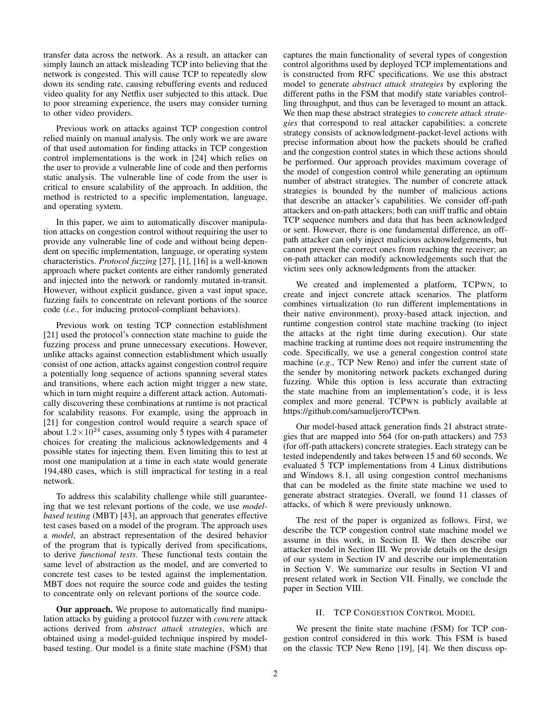transfer data across the network. As a result, an attacker can simply launch an attack misleading TCP into believing that the network is congested. This will cause TCP to repeatedly slow down its sending rate, causing rebuffering events and reduced video quality for any Netflix user subjected to this attack. Due to poor streaming experience, the users may consider turning to other video providers.

Previous work on attacks against TCP congestion control relied mainly on manual analysis. The only work we are aware of that used automation for finding attacks in TCP congestion control implementations is the work in [24] which relies on the user to provide a vulnerable line of code and then performs static analysis. The vulnerable line of code from the user is critical to ensure scalability of the approach. In addition, the method is restricted to a specific implementation, language, and operating system.

In this paper, we aim to automatically discover manipulation attacks on congestion control without requiring the user to provide any vulnerable line of code and without being dependent on specific implementation, language, or operating system characteristics. *Protocol fuzzing* [27], [1], [16] is a well-known approach where packet contents are either randomly generated and injected into the network or randomly mutated in-transit. However, without explicit guidance, given a vast input space, fuzzing fails to concentrate on relevant portions of the source code (*i.e.*, for inducing protocol-compliant behaviors).

Previous work on testing TCP connection establishment [21] used the protocol's connection state machine to guide the fuzzing process and prune unnecessary executions. However, unlike attacks against connection establishment which usually consist of one action, attacks against congestion control require a potentially long sequence of actions spanning several states and transitions, where each action might trigger a new state, which in turn might require a different attack action. Automatically discovering these combinations at runtime is not practical for scalability reasons. For example, using the approach in [21] for congestion control would require a search space of about  $1.2 \times 10^{24}$  cases, assuming only 5 types with 4 parameter choices for creating the malicious acknowledgements and 4 possible states for injecting them. Even limiting this to test at most one manipulation at a time in each state would generate 194,480 cases, which is still impractical for testing in a real network.

To address this scalability challenge while still guaranteeing that we test relevant portions of the code, we use *modelbased testing* (MBT) [43], an approach that generates effective test cases based on a model of the program. The approach uses a *model*, an abstract representation of the desired behavior of the program that is typically derived from specifications, to derive *functional tests*. These functional tests contain the same level of abstraction as the model, and are converted to concrete test cases to be tested against the implementation. MBT does not require the source code and guides the testing to concentrate only on relevant portions of the source code.

Our approach. We propose to automatically find manipulation attacks by guiding a protocol fuzzer with *concrete* attack actions derived from *abstract attack strategies*, which are obtained using a model-guided technique inspired by modelbased testing. Our model is a finite state machine (FSM) that captures the main functionality of several types of congestion control algorithms used by deployed TCP implementations and is constructed from RFC specifications. We use this abstract model to generate *abstract attack strategies* by exploring the different paths in the FSM that modify state variables controlling throughput, and thus can be leveraged to mount an attack. We then map these abstract strategies to *concrete attack strategies* that correspond to real attacker capabilities; a concrete strategy consists of acknowledgment-packet-level actions with precise information about how the packets should be crafted and the congestion control states in which these actions should be performed. Our approach provides maximum coverage of the model of congestion control while generating an optimum number of abstract strategies. The number of concrete attack strategies is bounded by the number of malicious actions that describe an attacker's capabilities. We consider off-path attackers and on-path attackers; both can sniff traffic and obtain TCP sequence numbers and data that has been acknowledged or sent. However, there is one fundamental difference, an offpath attacker can only inject malicious acknowledgements, but cannot prevent the correct ones from reaching the receiver; an on-path attacker can modify acknowledgements such that the victim sees only acknowledgments from the attacker.

We created and implemented a platform, TCPWN, to create and inject concrete attack scenarios. The platform combines virtualization (to run different implementations in their native environment), proxy-based attack injection, and runtime congestion control state machine tracking (to inject the attacks at the right time during execution). Our state machine tracking at runtime does not require instrumenting the code. Specifically, we use a general congestion control state machine (*e.g.*, TCP New Reno) and infer the current state of the sender by monitoring network packets exchanged during fuzzing. While this option is less accurate than extracting the state machine from an implementation's code, it is less complex and more general. TCPWN is publicly available at https://github.com/samueljero/TCPwn.

Our model-based attack generation finds 21 abstract strategies that are mapped into 564 (for on-path attackers) and 753 (for off-path attackers) concrete strategies. Each strategy can be tested independently and takes between 15 and 60 seconds. We evaluated 5 TCP implementations from 4 Linux distributions and Windows 8.1, all using congestion control mechanisms that can be modeled as the finite state machine we used to generate abstract strategies. Overall, we found 11 classes of attacks, of which 8 were previously unknown.

The rest of the paper is organized as follows. First, we describe the TCP congestion control state machine model we assume in this work, in Section II. We then describe our attacker model in Section III. We provide details on the design of our system in Section IV and describe our implementation in Section V. We summarize our results in Section VI and present related work in Section VII. Finally, we conclude the paper in Section VIII.

## II. TCP CONGESTION CONTROL MODEL

We present the finite state machine (FSM) for TCP congestion control considered in this work. This FSM is based on the classic TCP New Reno [19], [4]. We then discuss op-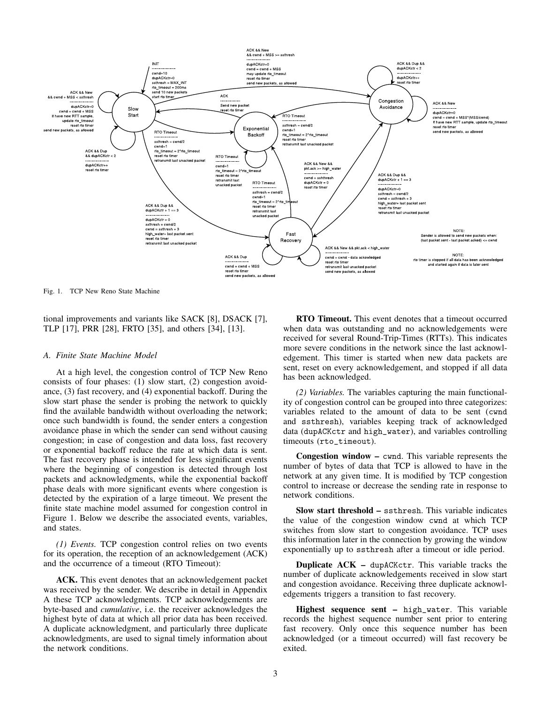

Fig. 1. TCP New Reno State Machine

tional improvements and variants like SACK [8], DSACK [7], TLP [17], PRR [28], FRTO [35], and others [34], [13].

#### *A. Finite State Machine Model*

At a high level, the congestion control of TCP New Reno consists of four phases: (1) slow start, (2) congestion avoidance, (3) fast recovery, and (4) exponential backoff. During the slow start phase the sender is probing the network to quickly find the available bandwidth without overloading the network; once such bandwidth is found, the sender enters a congestion avoidance phase in which the sender can send without causing congestion; in case of congestion and data loss, fast recovery or exponential backoff reduce the rate at which data is sent. The fast recovery phase is intended for less significant events where the beginning of congestion is detected through lost packets and acknowledgments, while the exponential backoff phase deals with more significant events where congestion is detected by the expiration of a large timeout. We present the finite state machine model assumed for congestion control in Figure 1. Below we describe the associated events, variables, and states.

*(1) Events.* TCP congestion control relies on two events for its operation, the reception of an acknowledgement (ACK) and the occurrence of a timeout (RTO Timeout):

ACK. This event denotes that an acknowledgement packet was received by the sender. We describe in detail in Appendix A these TCP acknowledgments. TCP acknowledgements are byte-based and *cumulative*, i.e. the receiver acknowledges the highest byte of data at which all prior data has been received. A duplicate acknowledgment, and particularly three duplicate acknowledgments, are used to signal timely information about the network conditions.

RTO Timeout. This event denotes that a timeout occurred when data was outstanding and no acknowledgements were received for several Round-Trip-Times (RTTs). This indicates more severe conditions in the network since the last acknowledgement. This timer is started when new data packets are sent, reset on every acknowledgement, and stopped if all data has been acknowledged.

*(2) Variables.* The variables capturing the main functionality of congestion control can be grouped into three categorizes: variables related to the amount of data to be sent (cwnd and ssthresh), variables keeping track of acknowledged data (dupACKctr and high\_water), and variables controlling timeouts (rto\_timeout).

Congestion window – cwnd. This variable represents the number of bytes of data that TCP is allowed to have in the network at any given time. It is modified by TCP congestion control to increase or decrease the sending rate in response to network conditions.

Slow start threshold – ssthresh. This variable indicates the value of the congestion window cwnd at which TCP switches from slow start to congestion avoidance. TCP uses this information later in the connection by growing the window exponentially up to ssthresh after a timeout or idle period.

Duplicate ACK – dupACKctr. This variable tracks the number of duplicate acknowledgements received in slow start and congestion avoidance. Receiving three duplicate acknowledgements triggers a transition to fast recovery.

Highest sequence sent – high\_water. This variable records the highest sequence number sent prior to entering fast recovery. Only once this sequence number has been acknowledged (or a timeout occurred) will fast recovery be exited.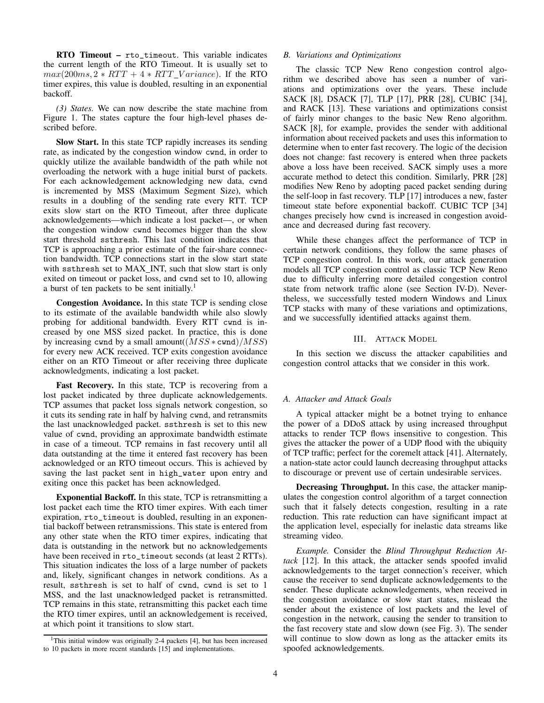RTO Timeout – rto\_timeout. This variable indicates the current length of the RTO Timeout. It is usually set to  $max(200ms, 2 * RTT + 4 * RTT \; Variance)$ . If the RTO timer expires, this value is doubled, resulting in an exponential backoff.

*(3) States.* We can now describe the state machine from Figure 1. The states capture the four high-level phases described before.

Slow Start. In this state TCP rapidly increases its sending rate, as indicated by the congestion window cwnd, in order to quickly utilize the available bandwidth of the path while not overloading the network with a huge initial burst of packets. For each acknowledgement acknowledging new data, cwnd is incremented by MSS (Maximum Segment Size), which results in a doubling of the sending rate every RTT. TCP exits slow start on the RTO Timeout, after three duplicate acknowledgements—which indicate a lost packet—, or when the congestion window cwnd becomes bigger than the slow start threshold ssthresh. This last condition indicates that TCP is approaching a prior estimate of the fair-share connection bandwidth. TCP connections start in the slow start state with ssthresh set to MAX\_INT, such that slow start is only exited on timeout or packet loss, and cwnd set to 10, allowing a burst of ten packets to be sent initially.<sup>1</sup>

Congestion Avoidance. In this state TCP is sending close to its estimate of the available bandwidth while also slowly probing for additional bandwidth. Every RTT cwnd is increased by one MSS sized packet. In practice, this is done by increasing cwnd by a small amount( $(MSS * \text{cwnd})/MSS$ ) for every new ACK received. TCP exits congestion avoidance either on an RTO Timeout or after receiving three duplicate acknowledgments, indicating a lost packet.

Fast Recovery. In this state, TCP is recovering from a lost packet indicated by three duplicate acknowledgements. TCP assumes that packet loss signals network congestion, so it cuts its sending rate in half by halving cwnd, and retransmits the last unacknowledged packet. ssthresh is set to this new value of cwnd, providing an approximate bandwidth estimate in case of a timeout. TCP remains in fast recovery until all data outstanding at the time it entered fast recovery has been acknowledged or an RTO timeout occurs. This is achieved by saving the last packet sent in high\_water upon entry and exiting once this packet has been acknowledged.

Exponential Backoff. In this state, TCP is retransmitting a lost packet each time the RTO timer expires. With each timer expiration, rto\_timeout is doubled, resulting in an exponential backoff between retransmissions. This state is entered from any other state when the RTO timer expires, indicating that data is outstanding in the network but no acknowledgements have been received in rto\_timeout seconds (at least 2 RTTs). This situation indicates the loss of a large number of packets and, likely, significant changes in network conditions. As a result, ssthresh is set to half of cwnd, cwnd is set to 1 MSS, and the last unacknowledged packet is retransmitted. TCP remains in this state, retransmitting this packet each time the RTO timer expires, until an acknowledgement is received, at which point it transitions to slow start.

#### *B. Variations and Optimizations*

The classic TCP New Reno congestion control algorithm we described above has seen a number of variations and optimizations over the years. These include SACK [8], DSACK [7], TLP [17], PRR [28], CUBIC [34], and RACK [13]. These variations and optimizations consist of fairly minor changes to the basic New Reno algorithm. SACK [8], for example, provides the sender with additional information about received packets and uses this information to determine when to enter fast recovery. The logic of the decision does not change: fast recovery is entered when three packets above a loss have been received. SACK simply uses a more accurate method to detect this condition. Similarly, PRR [28] modifies New Reno by adopting paced packet sending during the self-loop in fast recovery. TLP [17] introduces a new, faster timeout state before exponential backoff. CUBIC TCP [34] changes precisely how cwnd is increased in congestion avoidance and decreased during fast recovery.

While these changes affect the performance of TCP in certain network conditions, they follow the same phases of TCP congestion control. In this work, our attack generation models all TCP congestion control as classic TCP New Reno due to difficulty inferring more detailed congestion control state from network traffic alone (see Section IV-D). Nevertheless, we successfully tested modern Windows and Linux TCP stacks with many of these variations and optimizations, and we successfully identified attacks against them.

#### III. ATTACK MODEL

In this section we discuss the attacker capabilities and congestion control attacks that we consider in this work.

## *A. Attacker and Attack Goals*

A typical attacker might be a botnet trying to enhance the power of a DDoS attack by using increased throughput attacks to render TCP flows insensitive to congestion. This gives the attacker the power of a UDP flood with the ubiquity of TCP traffic; perfect for the coremelt attack [41]. Alternately, a nation-state actor could launch decreasing throughput attacks to discourage or prevent use of certain undesirable services.

Decreasing Throughput. In this case, the attacker manipulates the congestion control algorithm of a target connection such that it falsely detects congestion, resulting in a rate reduction. This rate reduction can have significant impact at the application level, especially for inelastic data streams like streaming video.

*Example.* Consider the *Blind Throughput Reduction Attack* [12]. In this attack, the attacker sends spoofed invalid acknowledgements to the target connection's receiver, which cause the receiver to send duplicate acknowledgements to the sender. These duplicate acknowledgements, when received in the congestion avoidance or slow start states, mislead the sender about the existence of lost packets and the level of congestion in the network, causing the sender to transition to the fast recovery state and slow down (see Fig. 3). The sender will continue to slow down as long as the attacker emits its spoofed acknowledgements.

<sup>&</sup>lt;sup>1</sup>This initial window was originally 2-4 packets [4], but has been increased to 10 packets in more recent standards [15] and implementations.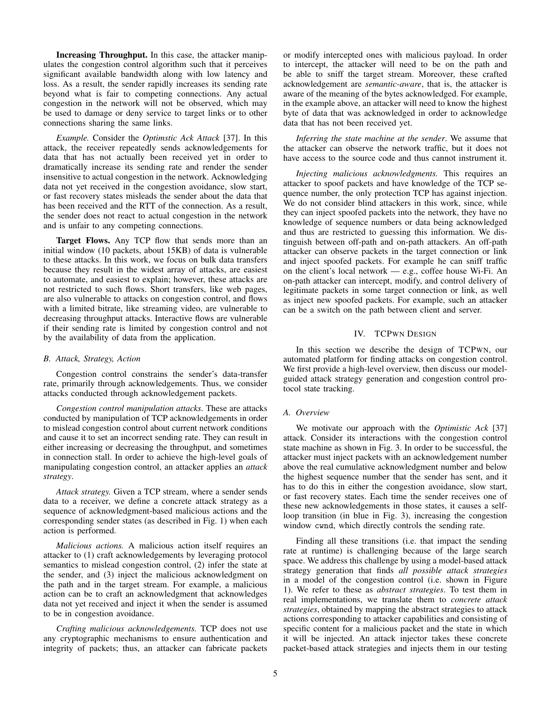Increasing Throughput. In this case, the attacker manipulates the congestion control algorithm such that it perceives significant available bandwidth along with low latency and loss. As a result, the sender rapidly increases its sending rate beyond what is fair to competing connections. Any actual congestion in the network will not be observed, which may be used to damage or deny service to target links or to other connections sharing the same links.

*Example.* Consider the *Optimstic Ack Attack* [37]. In this attack, the receiver repeatedly sends acknowledgements for data that has not actually been received yet in order to dramatically increase its sending rate and render the sender insensitive to actual congestion in the network. Acknowledging data not yet received in the congestion avoidance, slow start, or fast recovery states misleads the sender about the data that has been received and the RTT of the connection. As a result, the sender does not react to actual congestion in the network and is unfair to any competing connections.

Target Flows. Any TCP flow that sends more than an initial window (10 packets, about 15KB) of data is vulnerable to these attacks. In this work, we focus on bulk data transfers because they result in the widest array of attacks, are easiest to automate, and easiest to explain; however, these attacks are not restricted to such flows. Short transfers, like web pages, are also vulnerable to attacks on congestion control, and flows with a limited bitrate, like streaming video, are vulnerable to decreasing throughput attacks. Interactive flows are vulnerable if their sending rate is limited by congestion control and not by the availability of data from the application.

## *B. Attack, Strategy, Action*

Congestion control constrains the sender's data-transfer rate, primarily through acknowledgements. Thus, we consider attacks conducted through acknowledgement packets.

*Congestion control manipulation attacks.* These are attacks conducted by manipulation of TCP acknowledgements in order to mislead congestion control about current network conditions and cause it to set an incorrect sending rate. They can result in either increasing or decreasing the throughput, and sometimes in connection stall. In order to achieve the high-level goals of manipulating congestion control, an attacker applies an *attack strategy*.

*Attack strategy.* Given a TCP stream, where a sender sends data to a receiver, we define a concrete attack strategy as a sequence of acknowledgment-based malicious actions and the corresponding sender states (as described in Fig. 1) when each action is performed.

*Malicious actions.* A malicious action itself requires an attacker to (1) craft acknowledgements by leveraging protocol semantics to mislead congestion control, (2) infer the state at the sender, and (3) inject the malicious acknowledgment on the path and in the target stream. For example, a malicious action can be to craft an acknowledgment that acknowledges data not yet received and inject it when the sender is assumed to be in congestion avoidance.

*Crafting malicious acknowledgements.* TCP does not use any cryptographic mechanisms to ensure authentication and integrity of packets; thus, an attacker can fabricate packets or modify intercepted ones with malicious payload. In order to intercept, the attacker will need to be on the path and be able to sniff the target stream. Moreover, these crafted acknowledgement are *semantic-aware*, that is, the attacker is aware of the meaning of the bytes acknowledged. For example, in the example above, an attacker will need to know the highest byte of data that was acknowledged in order to acknowledge data that has not been received yet.

*Inferring the state machine at the sender*. We assume that the attacker can observe the network traffic, but it does not have access to the source code and thus cannot instrument it.

*Injecting malicious acknowledgments.* This requires an attacker to spoof packets and have knowledge of the TCP sequence number, the only protection TCP has against injection. We do not consider blind attackers in this work, since, while they can inject spoofed packets into the network, they have no knowledge of sequence numbers or data being acknowledged and thus are restricted to guessing this information. We distinguish between off-path and on-path attackers. An off-path attacker can observe packets in the target connection or link and inject spoofed packets. For example he can sniff traffic on the client's local network — e.g., coffee house Wi-Fi. An on-path attacker can intercept, modify, and control delivery of legitimate packets in some target connection or link, as well as inject new spoofed packets. For example, such an attacker can be a switch on the path between client and server.

# IV. TCPWN DESIGN

In this section we describe the design of TCPWN, our automated platform for finding attacks on congestion control. We first provide a high-level overview, then discuss our modelguided attack strategy generation and congestion control protocol state tracking.

#### *A. Overview*

We motivate our approach with the *Optimistic Ack* [37] attack. Consider its interactions with the congestion control state machine as shown in Fig. 3. In order to be successful, the attacker must inject packets with an acknowledgement number above the real cumulative acknowledgment number and below the highest sequence number that the sender has sent, and it has to do this in either the congestion avoidance, slow start, or fast recovery states. Each time the sender receives one of these new acknowledgements in those states, it causes a selfloop transition (in blue in Fig. 3), increasing the congestion window cwnd, which directly controls the sending rate.

Finding all these transitions (i.e. that impact the sending rate at runtime) is challenging because of the large search space. We address this challenge by using a model-based attack strategy generation that finds *all possible attack strategies* in a model of the congestion control (i.e. shown in Figure 1). We refer to these as *abstract strategies*. To test them in real implementations, we translate them to *concrete attack strategies*, obtained by mapping the abstract strategies to attack actions corresponding to attacker capabilities and consisting of specific content for a malicious packet and the state in which it will be injected. An attack injector takes these concrete packet-based attack strategies and injects them in our testing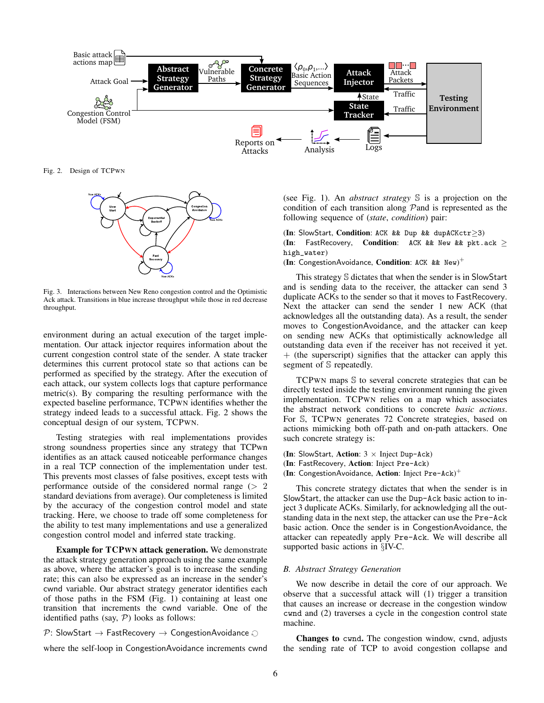

Fig. 2. Design of TCPWN



Fig. 3. Interactions between New Reno congestion control and the Optimistic Ack attack. Transitions in blue increase throughput while those in red decrease throughput.

environment during an actual execution of the target implementation. Our attack injector requires information about the current congestion control state of the sender. A state tracker determines this current protocol state so that actions can be performed as specified by the strategy. After the execution of each attack, our system collects logs that capture performance metric(s). By comparing the resulting performance with the expected baseline performance, TCPWN identifies whether the strategy indeed leads to a successful attack. Fig. 2 shows the conceptual design of our system, TCPWN.

Testing strategies with real implementations provides strong soundness properties since any strategy that TCPwn identifies as an attack caused noticeable performance changes in a real TCP connection of the implementation under test. This prevents most classes of false positives, except tests with performance outside of the considered normal range  $(2 \ 2)$ standard deviations from average). Our completeness is limited by the accuracy of the congestion control model and state tracking. Here, we choose to trade off some completeness for the ability to test many implementations and use a generalized congestion control model and inferred state tracking.

Example for TCPWN attack generation. We demonstrate the attack strategy generation approach using the same example as above, where the attacker's goal is to increase the sending rate; this can also be expressed as an increase in the sender's cwnd variable. Our abstract strategy generator identifies each of those paths in the FSM (Fig. 1) containing at least one transition that increments the cwnd variable. One of the identified paths (say,  $P$ ) looks as follows:

 $\mathcal{P}$ : SlowStart  $\rightarrow$  FastRecovery  $\rightarrow$  CongestionAvoidance  $\odot$ 

where the self-loop in CongestionAvoidance increments cwnd

(see Fig. 1). An *abstract strategy* S is a projection on the condition of each transition along Pand is represented as the following sequence of (*state*, *condition*) pair:

(In: SlowStart, Condition: ACK && Dup && dupACKctr≥3) (In: FastRecovery, Condition: ACK && New && pkt.ack  $\geq$ high\_water)

(In: CongestionAvoidance, Condition: ACK && New)<sup>+</sup>

This strategy S dictates that when the sender is in SlowStart and is sending data to the receiver, the attacker can send 3 duplicate ACKs to the sender so that it moves to FastRecovery. Next the attacker can send the sender 1 new ACK (that acknowledges all the outstanding data). As a result, the sender moves to CongestionAvoidance, and the attacker can keep on sending new ACKs that optimistically acknowledge all outstanding data even if the receiver has not received it yet. + (the superscript) signifies that the attacker can apply this segment of S repeatedly.

TCPWN maps S to several concrete strategies that can be directly tested inside the testing environment running the given implementation. TCPWN relies on a map which associates the abstract network conditions to concrete *basic actions*. For S, TCPWN generates 72 Concrete strategies, based on actions mimicking both off-path and on-path attackers. One such concrete strategy is:

(In: SlowStart, Action:  $3 \times$  Inject Dup-Ack)

(In: FastRecovery, Action: Inject Pre-Ack)

(In: CongestionAvoidance, Action: Inject Pre-Ack)<sup>+</sup>

This concrete strategy dictates that when the sender is in SlowStart, the attacker can use the Dup-Ack basic action to inject 3 duplicate ACKs. Similarly, for acknowledging all the outstanding data in the next step, the attacker can use the Pre-Ack basic action. Once the sender is in CongestionAvoidance, the attacker can repeatedly apply Pre-Ack. We will describe all supported basic actions in §IV-C.

#### *B. Abstract Strategy Generation*

We now describe in detail the core of our approach. We observe that a successful attack will (1) trigger a transition that causes an increase or decrease in the congestion window cwnd and (2) traverses a cycle in the congestion control state machine.

Changes to cwnd. The congestion window, cwnd, adjusts the sending rate of TCP to avoid congestion collapse and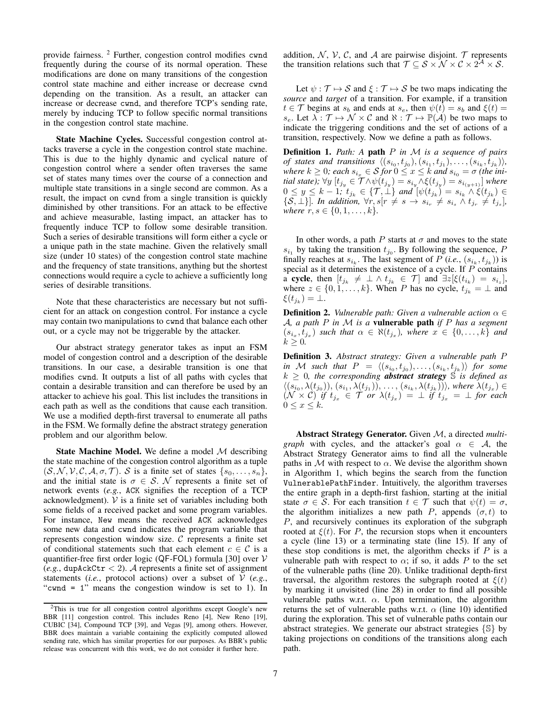provide fairness. <sup>2</sup> Further, congestion control modifies cwnd frequently during the course of its normal operation. These modifications are done on many transitions of the congestion control state machine and either increase or decrease cwnd depending on the transition. As a result, an attacker can increase or decrease cwnd, and therefore TCP's sending rate, merely by inducing TCP to follow specific normal transitions in the congestion control state machine.

State Machine Cycles. Successful congestion control attacks traverse a cycle in the congestion control state machine. This is due to the highly dynamic and cyclical nature of congestion control where a sender often traverses the same set of states many times over the course of a connection and multiple state transitions in a single second are common. As a result, the impact on cwnd from a single transition is quickly diminished by other transitions. For an attack to be effective and achieve measurable, lasting impact, an attacker has to frequently induce TCP to follow some desirable transition. Such a series of desirable transitions will form either a cycle or a unique path in the state machine. Given the relatively small size (under 10 states) of the congestion control state machine and the frequency of state transitions, anything but the shortest connections would require a cycle to achieve a sufficiently long series of desirable transitions.

Note that these characteristics are necessary but not sufficient for an attack on congestion control. For instance a cycle may contain two manipulations to cwnd that balance each other out, or a cycle may not be triggerable by the attacker.

Our abstract strategy generator takes as input an FSM model of congestion control and a description of the desirable transitions. In our case, a desirable transition is one that modifies cwnd. It outputs a list of all paths with cycles that contain a desirable transition and can therefore be used by an attacker to achieve his goal. This list includes the transitions in each path as well as the conditions that cause each transition. We use a modified depth-first traversal to enumerate all paths in the FSM. We formally define the abstract strategy generation problem and our algorithm below.

**State Machine Model.** We define a model  $M$  describing the state machine of the congestion control algorithm as a tuple  $(S, \mathcal{N}, \mathcal{V}, \mathcal{C}, \mathcal{A}, \sigma, \mathcal{T})$ . S is a finite set of states  $\{s_0, \ldots, s_n\}$ , and the initial state is  $\sigma \in S$ . N represents a finite set of network events (*e.g.*, ACK signifies the reception of a TCP acknowledgment).  $V$  is a finite set of variables including both some fields of a received packet and some program variables. For instance, New means the received ACK acknowledges some new data and cwnd indicates the program variable that represents congestion window size.  $C$  represents a finite set of conditional statements such that each element  $c \in \mathcal{C}$  is a quantifier-free first order logic (QF-FOL) formula [30] over  $V$  $(e.g., \text{dupAckCtr} < 2)$ . A represents a finite set of assignment statements (*i.e.*, protocol actions) over a subset of  $V$  (*e.g.*, "cwnd = 1" means the congestion window is set to 1). In

addition, N, V, C, and A are pairwise disjoint. T represents the transition relations such that  $\mathcal{T} \subseteq \mathcal{S} \times \mathcal{N} \times \mathcal{C} \times 2^{\mathcal{A}} \times \mathcal{S}$ .

Let  $\psi : \mathcal{T} \mapsto \mathcal{S}$  and  $\xi : \mathcal{T} \mapsto \mathcal{S}$  be two maps indicating the *source* and *target* of a transition. For example, if a transition  $t \in \mathcal{T}$  begins at  $s_b$  and ends at  $s_e$ , then  $\psi(\bar{t}) = s_b$  and  $\xi(t) = t$  $s_e$ . Let  $\lambda : \mathcal{T} \mapsto \mathcal{N} \times \mathcal{C}$  and  $\aleph : \mathcal{T} \mapsto \mathbb{P}(\mathcal{A})$  be two maps to indicate the triggering conditions and the set of actions of a transition, respectively. Now we define a path as follows.

Definition 1. *Path: A* path P *in* M *is a sequence of pairs of states and transitions*  $\langle (s_{i_0}, t_{j_0}), (s_{i_1}, t_{j_1}), \ldots, (s_{i_k}, t_{j_k}) \rangle$ ,  $where k \geq 0$ ; each  $s_{i_x} \in \mathcal{S}$  for  $0 \leq x \leq k$  and  $s_{i_0} = \sigma$  (the initial state);  $\forall y \ [t_{j_y} \in T \wedge \psi(t_{j_y}) = s_{i_y} \wedge \xi(t_{j_y}) = s_{i_{(y+1)}}]$  where  $0 \leq y \leq k-1$ ;  $t_{j_k} \in \{\mathcal{T}, \perp\}$  and  $[\psi(t_{j_k}) = s_{i_k} \wedge \xi(t_{j_k}) \in$  $\{\mathcal{S}, \perp\}$ ]. In addition,  $\forall r, s[r \neq s \rightarrow s_{i_r} \neq s_{i_s} \land t_{j_r} \neq t_{j_s}].$ *where*  $r, s \in \{0, 1, \ldots, k\}$ .

In other words, a path P starts at  $\sigma$  and moves to the state  $s_{i_1}$  by taking the transition  $t_{j_0}$ . By following the sequence, P finally reaches at  $s_{i_k}$ . The last segment of P (*i.e.*,  $(s_{i_k}, t_{j_k})$ ) is special as it determines the existence of a cycle. If P contains a cycle, then  $[t_{j_k} \neq \bot \land t_{j_k} \in \mathcal{T}]$  and  $\exists z [\xi(t_{i_k}) = s_{i_z}]$ , where  $z \in \{0, 1, \ldots, k\}$ . When P has no cycle,  $t_{j_k} = \perp$  and  $\xi(t_{j_k}) = \perp.$ 

**Definition 2.** *Vulnerable path: Given a vulnerable action*  $\alpha \in$ A*, a path* P *in* M *is a* vulnerable path *if* P *has a segment*  $(s_{i_x}, t_{j_x})$  such that  $\alpha \in \aleph(t_{j_x})$ , where  $x \in \{0, \ldots, k\}$  and  $k \geq 0$ .

Definition 3. *Abstract strategy: Given a vulnerable path* P in M such that  $P = \langle (s_{i_0}, t_{j_0}), \ldots, (s_{i_k}, t_{j_k}) \rangle$  for some  $k \geq 0$ , the corresponding **abstract strategy**  $\mathcal{S}$  *is defined as*  $\langle (s_{i_0}, \lambda(t_{j_0})), (s_{i_1}, \lambda(t_{j_1})), \ldots, (s_{i_k}, \lambda(t_{j_k})), \text{where } \lambda(t_{j_x}) \in$  $(\mathcal{N} \times \mathcal{C})$  *if*  $t_{j_x} \in \mathcal{T}$  *or*  $\lambda(t_{j_x}) = \bot$  *if*  $t_{j_x} = \bot$  *for each*  $0 \leq x \leq k$ .

Abstract Strategy Generator. Given M, a directed *multigraph* with cycles, and the attacker's goal  $\alpha \in A$ , the Abstract Strategy Generator aims to find all the vulnerable paths in M with respect to  $\alpha$ . We devise the algorithm shown in Algorithm 1, which begins the search from the function VulnerablePathFinder. Intuitively, the algorithm traverses the entire graph in a depth-first fashion, starting at the initial state  $\sigma \in \mathcal{S}$ . For each transition  $t \in \mathcal{T}$  such that  $\psi(t) = \sigma$ , the algorithm initializes a new path P, appends  $(\sigma, t)$  to P, and recursively continues its exploration of the subgraph rooted at  $\xi(t)$ . For P, the recursion stops when it encounters a cycle (line 13) or a terminating state (line 15). If any of these stop conditions is met, the algorithm checks if  $P$  is a vulnerable path with respect to  $\alpha$ ; if so, it adds P to the set of the vulnerable paths (line 20). Unlike traditional depth-first traversal, the algorithm restores the subgraph rooted at  $\xi(t)$ by marking it unvisited (line 28) in order to find all possible vulnerable paths w.r.t.  $\alpha$ . Upon termination, the algorithm returns the set of vulnerable paths w.r.t.  $\alpha$  (line 10) identified during the exploration. This set of vulnerable paths contain our abstract strategies. We generate our abstract strategies {S} by taking projections on conditions of the transitions along each path.

<sup>2</sup>This is true for all congestion control algorithms except Google's new BBR [11] congestion control. This includes Reno [4], New Reno [19], CUBIC [34], Compound TCP [39], and Vegas [9], among others. However, BBR does maintain a variable containing the explicitly computed allowed sending rate, which has similar properties for our purposes. As BBR's public release was concurrent with this work, we do not consider it further here.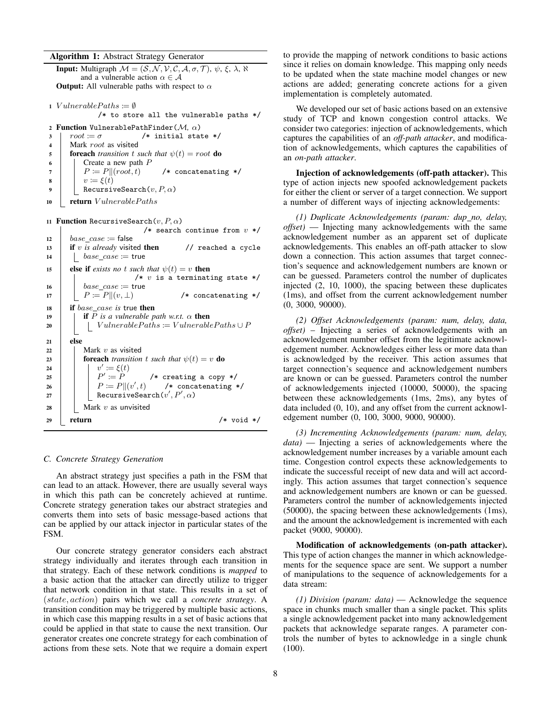#### Algorithm 1: Abstract Strategy Generator

**Input:** Multigraph  $M = (S, N, V, C, A, \sigma, T), \psi, \xi, \lambda, \aleph$ and a vulnerable action  $\alpha \in \mathcal{A}$ **Output:** All vulnerable paths with respect to  $\alpha$ 

1 VulnerablePaths  $:= \emptyset$ 

/\* to store all the vulnerable paths  $*/$ 

2 **Function** VulnerablePathFinder( $M$ ,  $\alpha$ )<br>3 |  $root := \sigma$  /\* initial state  $3 \mid root := \sigma$  /\* initial state \*/ 4 | Mark *root* as visited 5 **foreach** *transition* t *such that*  $\psi(t) = root$  **do** 6 Create a new path P<br>  $P := P||(root, t)$  $7 \mid P \coloneqq P \Vert (root, t) \qquad \text{/* concatenating */}$ 8 |  $v := \xi(t)$ 9 | RecursiveSearch $(v, P, \alpha)$ 10 **return**  $V$ *ulnerablePaths* 

```
11 Function RecursiveSearch(v, P, \alpha)
```

```
/* search continue from v */
12 base\_case := false13 if v is already visited then // reached a cycle
14 \vert base\_case := true15 else if exists no t such that \psi(t) = v then
                       /* v is a terminating state */
16 | base\_case := true17 | P \coloneqq P \parallel (v, \perp) /* concatenating */
18 if base_case is true then
19 if P is a vulnerable path w.r.t. \alpha then
20 | | VulnerablePaths := VulnerablePaths ∪ P
21 else
22 | | Mark v as visited
23 foreach transition t such that \psi(t) = v do
24 | \vert \vert \vert \vert \vert\dot{\xi}(t) \coloneqq \xi(t)25 \vert \vert \vert P'/* creating a copy */26 | | P \coloneqq P || (v'/* concatenating */
27 | RecursiveSearch(v', P', \alpha)28 | Mark v as unvisited
29 return /* void */
```
## *C. Concrete Strategy Generation*

An abstract strategy just specifies a path in the FSM that can lead to an attack. However, there are usually several ways in which this path can be concretely achieved at runtime. Concrete strategy generation takes our abstract strategies and converts them into sets of basic message-based actions that can be applied by our attack injector in particular states of the FSM.

Our concrete strategy generator considers each abstract strategy individually and iterates through each transition in that strategy. Each of these network conditions is *mapped* to a basic action that the attacker can directly utilize to trigger that network condition in that state. This results in a set of (state, action) pairs which we call a *concrete strategy*. A transition condition may be triggered by multiple basic actions, in which case this mapping results in a set of basic actions that could be applied in that state to cause the next transition. Our generator creates one concrete strategy for each combination of actions from these sets. Note that we require a domain expert to provide the mapping of network conditions to basic actions since it relies on domain knowledge. This mapping only needs to be updated when the state machine model changes or new actions are added; generating concrete actions for a given implementation is completely automated.

We developed our set of basic actions based on an extensive study of TCP and known congestion control attacks. We consider two categories: injection of acknowledgements, which captures the capabilities of an *off-path attacker*, and modification of acknowledgements, which captures the capabilities of an *on-path attacker*.

Injection of acknowledgements (off-path attacker). This type of action injects new spoofed acknowledgement packets for either the client or server of a target connection. We support a number of different ways of injecting acknowledgements:

*(1) Duplicate Acknowledgements (param: dup no, delay, offset)* — Injecting many acknowledgements with the same acknowledgement number as an apparent set of duplicate acknowledgements. This enables an off-path attacker to slow down a connection. This action assumes that target connection's sequence and acknowledgement numbers are known or can be guessed. Parameters control the number of duplicates injected (2, 10, 1000), the spacing between these duplicates (1ms), and offset from the current acknowledgement number (0, 3000, 90000).

*(2) Offset Acknowledgements (param: num, delay, data, offset)* – Injecting a series of acknowledgements with an acknowledgement number offset from the legitimate acknowledgement number. Acknowledges either less or more data than is acknowledged by the receiver. This action assumes that target connection's sequence and acknowledgement numbers are known or can be guessed. Parameters control the number of acknowledgements injected (10000, 50000), the spacing between these acknowledgements (1ms, 2ms), any bytes of data included (0, 10), and any offset from the current acknowledgement number (0, 100, 3000, 9000, 90000).

*(3) Incrementing Acknowledgements (param: num, delay, data)* — Injecting a series of acknowledgements where the acknowledgement number increases by a variable amount each time. Congestion control expects these acknowledgements to indicate the successful receipt of new data and will act accordingly. This action assumes that target connection's sequence and acknowledgement numbers are known or can be guessed. Parameters control the number of acknowledgements injected (50000), the spacing between these acknowledgements (1ms), and the amount the acknowledgement is incremented with each packet (9000, 90000).

Modification of acknowledgements (on-path attacker). This type of action changes the manner in which acknowledgements for the sequence space are sent. We support a number of manipulations to the sequence of acknowledgements for a data stream:

*(1) Division (param: data)* — Acknowledge the sequence space in chunks much smaller than a single packet. This splits a single acknowledgement packet into many acknowledgement packets that acknowledge separate ranges. A parameter controls the number of bytes to acknowledge in a single chunk (100).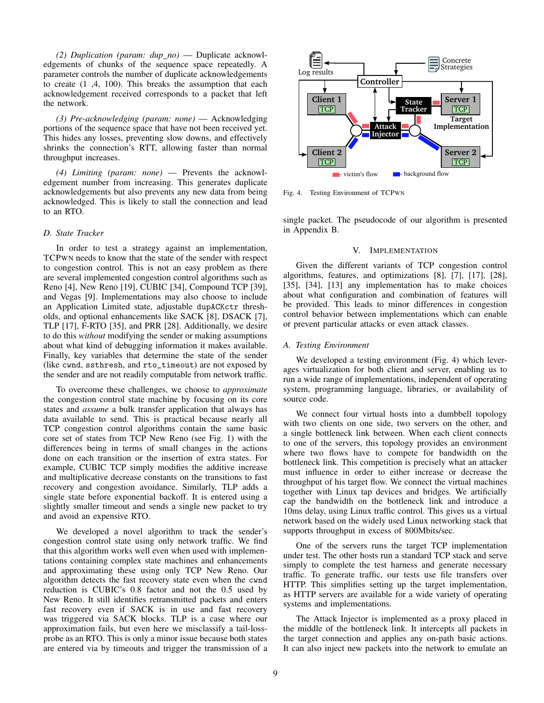*(2) Duplication (param: dup no)* — Duplicate acknowledgements of chunks of the sequence space repeatedly. A parameter controls the number of duplicate acknowledgements to create (1 ,4, 100). This breaks the assumption that each acknowledgement received corresponds to a packet that left the network.

*(3) Pre-acknowledging (param: none)* — Acknowledging portions of the sequence space that have not been received yet. This hides any losses, preventing slow downs, and effectively shrinks the connection's RTT, allowing faster than normal throughput increases.

*(4) Limiting (param: none)* — Prevents the acknowledgement number from increasing. This generates duplicate acknowledgements but also prevents any new data from being acknowledged. This is likely to stall the connection and lead to an RTO.

## *D. State Tracker*

In order to test a strategy against an implementation, TCPWN needs to know that the state of the sender with respect to congestion control. This is not an easy problem as there are several implemented congestion control algorithms such as Reno [4], New Reno [19], CUBIC [34], Compound TCP [39], and Vegas [9]. Implementations may also choose to include an Application Limited state, adjustable dupACKctr thresholds, and optional enhancements like SACK [8], DSACK [7], TLP [17], F-RTO [35], and PRR [28]. Additionally, we desire to do this *without* modifying the sender or making assumptions about what kind of debugging information it makes available. Finally, key variables that determine the state of the sender (like cwnd, ssthresh, and rto\_timeout) are not exposed by the sender and are not readily computable from network traffic.

To overcome these challenges, we choose to *approximate* the congestion control state machine by focusing on its core states and *assume* a bulk transfer application that always has data available to send. This is practical because nearly all TCP congestion control algorithms contain the same basic core set of states from TCP New Reno (see Fig. 1) with the differences being in terms of small changes in the actions done on each transition or the insertion of extra states. For example, CUBIC TCP simply modifies the additive increase and multiplicative decrease constants on the transitions to fast recovery and congestion avoidance. Similarly, TLP adds a single state before exponential backoff. It is entered using a slightly smaller timeout and sends a single new packet to try and avoid an expensive RTO.

We developed a novel algorithm to track the sender's congestion control state using only network traffic. We find that this algorithm works well even when used with implementations containing complex state machines and enhancements and approximating these using only TCP New Reno. Our algorithm detects the fast recovery state even when the cwnd reduction is CUBIC's 0.8 factor and not the 0.5 used by New Reno. It still identifies retransmitted packets and enters fast recovery even if SACK is in use and fast recovery was triggered via SACK blocks. TLP is a case where our approximation fails, but even here we misclassify a tail-lossprobe as an RTO. This is only a minor issue because both states are entered via by timeouts and trigger the transmission of a



Fig. 4. Testing Environment of TCPWN

single packet. The pseudocode of our algorithm is presented in Appendix B.

#### V. IMPLEMENTATION

Given the different variants of TCP congestion control algorithms, features, and optimizations [8], [7], [17], [28], [35], [34], [13] any implementation has to make choices about what configuration and combination of features will be provided. This leads to minor differences in congestion control behavior between implementations which can enable or prevent particular attacks or even attack classes.

#### *A. Testing Environment*

We developed a testing environment (Fig. 4) which leverages virtualization for both client and server, enabling us to run a wide range of implementations, independent of operating system, programming language, libraries, or availability of source code.

We connect four virtual hosts into a dumbbell topology with two clients on one side, two servers on the other, and a single bottleneck link between. When each client connects to one of the servers, this topology provides an environment where two flows have to compete for bandwidth on the bottleneck link. This competition is precisely what an attacker must influence in order to either increase or decrease the throughput of his target flow. We connect the virtual machines together with Linux tap devices and bridges. We artificially cap the bandwidth on the bottleneck link and introduce a 10ms delay, using Linux traffic control. This gives us a virtual network based on the widely used Linux networking stack that supports throughput in excess of 800Mbits/sec.

One of the servers runs the target TCP implementation under test. The other hosts run a standard TCP stack and serve simply to complete the test harness and generate necessary traffic. To generate traffic, our tests use file transfers over HTTP. This simplifies setting up the target implementation, as HTTP servers are available for a wide variety of operating systems and implementations.

The Attack Injector is implemented as a proxy placed in the middle of the bottleneck link. It intercepts all packets in the target connection and applies any on-path basic actions. It can also inject new packets into the network to emulate an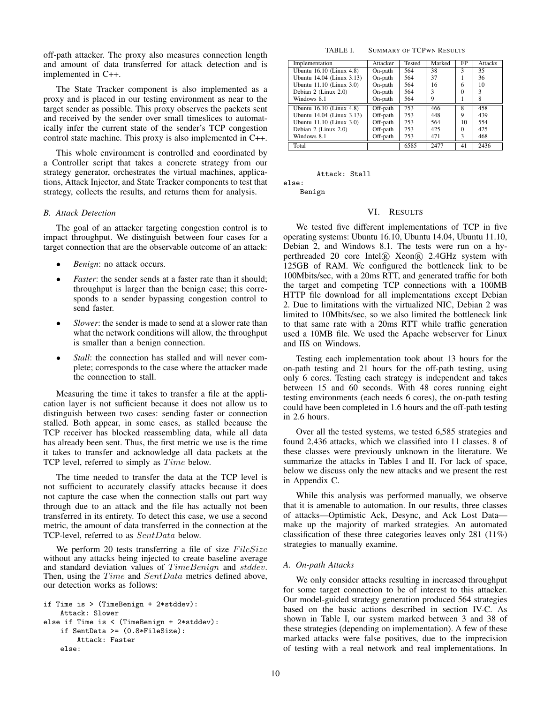off-path attacker. The proxy also measures connection length and amount of data transferred for attack detection and is implemented in C++.

The State Tracker component is also implemented as a proxy and is placed in our testing environment as near to the target sender as possible. This proxy observes the packets sent and received by the sender over small timeslices to automatically infer the current state of the sender's TCP congestion control state machine. This proxy is also implemented in C++.

This whole environment is controlled and coordinated by a Controller script that takes a concrete strategy from our strategy generator, orchestrates the virtual machines, applications, Attack Injector, and State Tracker components to test that strategy, collects the results, and returns them for analysis.

## *B. Attack Detection*

The goal of an attacker targeting congestion control is to impact throughput. We distinguish between four cases for a target connection that are the observable outcome of an attack:

- *Benign*: no attack occurs.
- *Faster*: the sender sends at a faster rate than it should; throughput is larger than the benign case; this corresponds to a sender bypassing congestion control to send faster.
- *Slower*: the sender is made to send at a slower rate than what the network conditions will allow, the throughput is smaller than a benign connection.
- *Stall*: the connection has stalled and will never complete; corresponds to the case where the attacker made the connection to stall.

Measuring the time it takes to transfer a file at the application layer is not sufficient because it does not allow us to distinguish between two cases: sending faster or connection stalled. Both appear, in some cases, as stalled because the TCP receiver has blocked reassembling data, while all data has already been sent. Thus, the first metric we use is the time it takes to transfer and acknowledge all data packets at the TCP level, referred to simply as  $Time$  below.

The time needed to transfer the data at the TCP level is not sufficient to accurately classify attacks because it does not capture the case when the connection stalls out part way through due to an attack and the file has actually not been transferred in its entirety. To detect this case, we use a second metric, the amount of data transferred in the connection at the TCP-level, referred to as SentData below.

We perform 20 tests transferring a file of size  $FilesSize$ without any attacks being injected to create baseline average and standard deviation values of TimeBenign and stddev. Then, using the Time and SentData metrics defined above, our detection works as follows:

```
if Time is > (TimeBenign + 2*stddev):
    Attack: Slower
else if Time is < (TimeBenign + 2*stddev):
    if SentData >= (0.8*FileSize):
        Attack: Faster
    else:
```
TABLE I. SUMMARY OF TCPWN RESULTS

| Implementation            | Attacker | Tested | Marked | <b>FP</b>    | Attacks |
|---------------------------|----------|--------|--------|--------------|---------|
| Ubuntu 16.10 (Linux 4.8)  | On-path  | 564    | 38     | $\mathbf{3}$ | 35      |
| Ubuntu 14.04 (Linux 3.13) | On-path  | 564    | 37     |              | 36      |
| Ubuntu 11.10 (Linux 3.0)  | On-path  | 564    | 16     | 6            | 10      |
| Debian 2 (Linux 2.0)      | On-path  | 564    | 3      | $\Omega$     | 3       |
| Windows 8.1               | On-path  | 564    | 9      |              | 8       |
| Ubuntu 16.10 (Linux 4.8)  | Off-path | 753    | 466    | 8            | 458     |
| Ubuntu 14.04 (Linux 3.13) | Off-path | 753    | 448    | 9            | 439     |
| Ubuntu 11.10 (Linux 3.0)  | Off-path | 753    | 564    | 10           | 554     |
| Debian 2 (Linux 2.0)      | Off-path | 753    | 425    | $\Omega$     | 425     |
| Windows 8.1               | Off-path | 753    | 471    | 3            | 468     |
| Total                     |          | 6585   | 2477   | 41           | 2436    |

Attack: Stall

else: Benign

## VI. RESULTS

We tested five different implementations of TCP in five operating systems: Ubuntu 16.10, Ubuntu 14.04, Ubuntu 11.10, Debian 2, and Windows 8.1. The tests were run on a hyperthreaded 20 core Intel® Xeon® 2.4GHz system with 125GB of RAM. We configured the bottleneck link to be 100Mbits/sec, with a 20ms RTT, and generated traffic for both the target and competing TCP connections with a 100MB HTTP file download for all implementations except Debian 2. Due to limitations with the virtualized NIC, Debian 2 was limited to 10Mbits/sec, so we also limited the bottleneck link to that same rate with a 20ms RTT while traffic generation used a 10MB file. We used the Apache webserver for Linux and IIS on Windows.

Testing each implementation took about 13 hours for the on-path testing and 21 hours for the off-path testing, using only 6 cores. Testing each strategy is independent and takes between 15 and 60 seconds. With 48 cores running eight testing environments (each needs 6 cores), the on-path testing could have been completed in 1.6 hours and the off-path testing in 2.6 hours.

Over all the tested systems, we tested 6,585 strategies and found 2,436 attacks, which we classified into 11 classes. 8 of these classes were previously unknown in the literature. We summarize the attacks in Tables I and II. For lack of space, below we discuss only the new attacks and we present the rest in Appendix C.

While this analysis was performed manually, we observe that it is amenable to automation. In our results, three classes of attacks—Optimistic Ack, Desync, and Ack Lost Data make up the majority of marked strategies. An automated classification of these three categories leaves only 281 (11%) strategies to manually examine.

## *A. On-path Attacks*

We only consider attacks resulting in increased throughput for some target connection to be of interest to this attacker. Our model-guided strategy generation produced 564 strategies based on the basic actions described in section IV-C. As shown in Table I, our system marked between 3 and 38 of these strategies (depending on implementation). A few of these marked attacks were false positives, due to the imprecision of testing with a real network and real implementations. In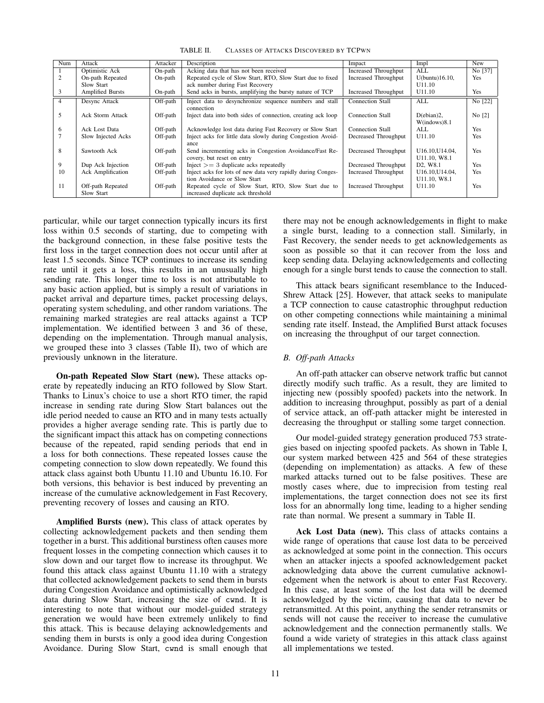TABLE II. CLASSES OF ATTACKS DISCOVERED BY TCPWN

| Num | Attack                  | Attacker | Description                                                  | Impact                      | Impl                              | New        |
|-----|-------------------------|----------|--------------------------------------------------------------|-----------------------------|-----------------------------------|------------|
|     | Optimistic Ack          | On-path  | Acking data that has not been received                       | <b>Increased Throughput</b> | <b>ALL</b>                        | No [37]    |
| 2   | On-path Repeated        | On-path  | Repeated cycle of Slow Start, RTO, Slow Start due to fixed   | Increased Throughput        | $U(buntu)16.10$ ,                 | Yes        |
|     | Slow Start              |          | ack number during Fast Recovery                              |                             | U11.10                            |            |
| 3   | <b>Amplified Bursts</b> | On-path  | Send acks in bursts, amplifying the bursty nature of TCP     | Increased Throughput        | U11.10                            | <b>Yes</b> |
| 4   | Desync Attack           | Off-path | Inject data to desynchronize sequence numbers and stall      | <b>Connection Stall</b>     | ALL                               | No [22]    |
|     |                         |          | connection                                                   |                             |                                   |            |
| 5   | Ack Storm Attack        | Off-path | Inject data into both sides of connection, creating ack loop | <b>Connection Stall</b>     | $D(ebian)2$ ,                     | No $[2]$   |
|     |                         |          |                                                              |                             | W(indown)8.1                      |            |
| 6   | Ack Lost Data           | Off-path | Acknowledge lost data during Fast Recovery or Slow Start     | <b>Connection Stall</b>     | AI.                               | Yes        |
|     | Slow Injected Acks      | Off-path | Inject acks for little data slowly during Congestion Avoid-  | Decreased Throughput        | U <sub>11.10</sub>                | Yes.       |
|     |                         |          | ance                                                         |                             |                                   |            |
| 8   | Sawtooth Ack            | Off-path | Send incrementing acks in Congestion Avoidance/Fast Re-      | Decreased Throughput        | U16.10.U14.04.                    | Yes        |
|     |                         |          | covery, but reset on entry                                   |                             | U11.10, W8.1                      |            |
| 9   | Dup Ack Injection       | Off-path | $Inject > = 3$ duplicate acks repeatedly                     | Decreased Throughput        | D <sub>2</sub> . W <sub>8.1</sub> | Yes        |
| 10  | Ack Amplification       | Off-path | Inject acks for lots of new data very rapidly during Conges- | <b>Increased Throughput</b> | U16.10, U14.04,                   | Yes        |
|     |                         |          | tion Avoidance or Slow Start                                 |                             | U11.10, W8.1                      |            |
| 11  | Off-path Repeated       | Off-path | Repeated cycle of Slow Start, RTO, Slow Start due to         | <b>Increased Throughput</b> | U11.10                            | Yes        |
|     | Slow Start              |          | increased duplicate ack threshold                            |                             |                                   |            |

particular, while our target connection typically incurs its first loss within 0.5 seconds of starting, due to competing with the background connection, in these false positive tests the first loss in the target connection does not occur until after at least 1.5 seconds. Since TCP continues to increase its sending rate until it gets a loss, this results in an unusually high sending rate. This longer time to loss is not attributable to any basic action applied, but is simply a result of variations in packet arrival and departure times, packet processing delays, operating system scheduling, and other random variations. The remaining marked strategies are real attacks against a TCP implementation. We identified between 3 and 36 of these, depending on the implementation. Through manual analysis, we grouped these into 3 classes (Table II), two of which are previously unknown in the literature.

On-path Repeated Slow Start (new). These attacks operate by repeatedly inducing an RTO followed by Slow Start. Thanks to Linux's choice to use a short RTO timer, the rapid increase in sending rate during Slow Start balances out the idle period needed to cause an RTO and in many tests actually provides a higher average sending rate. This is partly due to the significant impact this attack has on competing connections because of the repeated, rapid sending periods that end in a loss for both connections. These repeated losses cause the competing connection to slow down repeatedly. We found this attack class against both Ubuntu 11.10 and Ubuntu 16.10. For both versions, this behavior is best induced by preventing an increase of the cumulative acknowledgement in Fast Recovery, preventing recovery of losses and causing an RTO.

Amplified Bursts (new). This class of attack operates by collecting acknowledgement packets and then sending them together in a burst. This additional burstiness often causes more frequent losses in the competing connection which causes it to slow down and our target flow to increase its throughput. We found this attack class against Ubuntu 11.10 with a strategy that collected acknowledgement packets to send them in bursts during Congestion Avoidance and optimistically acknowledged data during Slow Start, increasing the size of cwnd. It is interesting to note that without our model-guided strategy generation we would have been extremely unlikely to find this attack. This is because delaying acknowledgements and sending them in bursts is only a good idea during Congestion Avoidance. During Slow Start, cwnd is small enough that there may not be enough acknowledgements in flight to make a single burst, leading to a connection stall. Similarly, in Fast Recovery, the sender needs to get acknowledgements as soon as possible so that it can recover from the loss and keep sending data. Delaying acknowledgements and collecting enough for a single burst tends to cause the connection to stall.

This attack bears significant resemblance to the Induced-Shrew Attack [25]. However, that attack seeks to manipulate a TCP connection to cause catastrophic throughput reduction on other competing connections while maintaining a minimal sending rate itself. Instead, the Amplified Burst attack focuses on increasing the throughput of our target connection.

# *B. Off-path Attacks*

An off-path attacker can observe network traffic but cannot directly modify such traffic. As a result, they are limited to injecting new (possibly spoofed) packets into the network. In addition to increasing throughput, possibly as part of a denial of service attack, an off-path attacker might be interested in decreasing the throughput or stalling some target connection.

Our model-guided strategy generation produced 753 strategies based on injecting spoofed packets. As shown in Table I, our system marked between 425 and 564 of these strategies (depending on implementation) as attacks. A few of these marked attacks turned out to be false positives. These are mostly cases where, due to imprecision from testing real implementations, the target connection does not see its first loss for an abnormally long time, leading to a higher sending rate than normal. We present a summary in Table II.

Ack Lost Data (new). This class of attacks contains a wide range of operations that cause lost data to be perceived as acknowledged at some point in the connection. This occurs when an attacker injects a spoofed acknowledgement packet acknowledging data above the current cumulative acknowledgement when the network is about to enter Fast Recovery. In this case, at least some of the lost data will be deemed acknowledged by the victim, causing that data to never be retransmitted. At this point, anything the sender retransmits or sends will not cause the receiver to increase the cumulative acknowledgement and the connection permanently stalls. We found a wide variety of strategies in this attack class against all implementations we tested.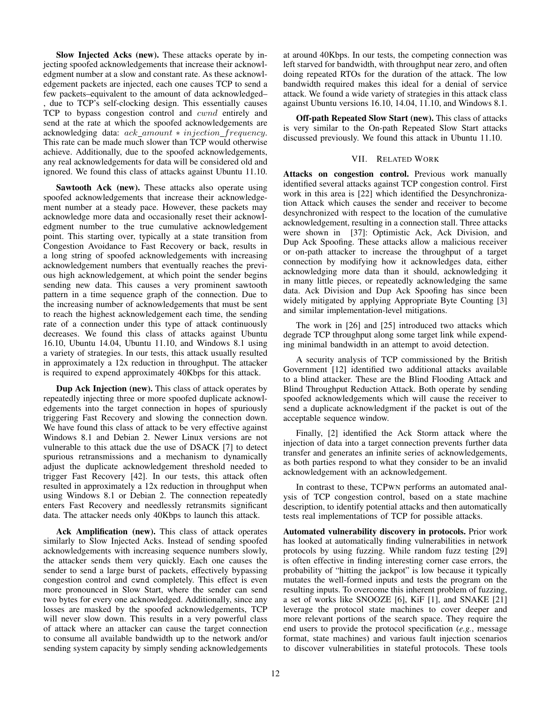Slow Injected Acks (new). These attacks operate by injecting spoofed acknowledgements that increase their acknowledgment number at a slow and constant rate. As these acknowledgement packets are injected, each one causes TCP to send a few packets–equivalent to the amount of data acknowledged– , due to TCP's self-clocking design. This essentially causes TCP to bypass congestion control and cwnd entirely and send at the rate at which the spoofed acknowledgements are acknowledging data:  $ack\_amount * injection\_frequency$ . This rate can be made much slower than TCP would otherwise achieve. Additionally, due to the spoofed acknowledgements, any real acknowledgements for data will be considered old and ignored. We found this class of attacks against Ubuntu 11.10.

Sawtooth Ack (new). These attacks also operate using spoofed acknowledgements that increase their acknowledgement number at a steady pace. However, these packets may acknowledge more data and occasionally reset their acknowledgment number to the true cumulative acknowledgement point. This starting over, typically at a state transition from Congestion Avoidance to Fast Recovery or back, results in a long string of spoofed acknowledgements with increasing acknowledgement numbers that eventually reaches the previous high acknowledgement, at which point the sender begins sending new data. This causes a very prominent sawtooth pattern in a time sequence graph of the connection. Due to the increasing number of acknowledgements that must be sent to reach the highest acknowledgement each time, the sending rate of a connection under this type of attack continuously decreases. We found this class of attacks against Ubuntu 16.10, Ubuntu 14.04, Ubuntu 11.10, and Windows 8.1 using a variety of strategies. In our tests, this attack usually resulted in approximately a 12x reduction in throughput. The attacker is required to expend approximately 40Kbps for this attack.

Dup Ack Injection (new). This class of attack operates by repeatedly injecting three or more spoofed duplicate acknowledgements into the target connection in hopes of spuriously triggering Fast Recovery and slowing the connection down. We have found this class of attack to be very effective against Windows 8.1 and Debian 2. Newer Linux versions are not vulnerable to this attack due the use of DSACK [7] to detect spurious retransmissions and a mechanism to dynamically adjust the duplicate acknowledgement threshold needed to trigger Fast Recovery [42]. In our tests, this attack often resulted in approximately a 12x reduction in throughput when using Windows 8.1 or Debian 2. The connection repeatedly enters Fast Recovery and needlessly retransmits significant data. The attacker needs only 40Kbps to launch this attack.

Ack Amplification (new). This class of attack operates similarly to Slow Injected Acks. Instead of sending spoofed acknowledgements with increasing sequence numbers slowly, the attacker sends them very quickly. Each one causes the sender to send a large burst of packets, effectively bypassing congestion control and cwnd completely. This effect is even more pronounced in Slow Start, where the sender can send two bytes for every one acknowledged. Additionally, since any losses are masked by the spoofed acknowledgements, TCP will never slow down. This results in a very powerful class of attack where an attacker can cause the target connection to consume all available bandwidth up to the network and/or sending system capacity by simply sending acknowledgements at around 40Kbps. In our tests, the competing connection was left starved for bandwidth, with throughput near zero, and often doing repeated RTOs for the duration of the attack. The low bandwidth required makes this ideal for a denial of service attack. We found a wide variety of strategies in this attack class against Ubuntu versions 16.10, 14.04, 11.10, and Windows 8.1.

Off-path Repeated Slow Start (new). This class of attacks is very similar to the On-path Repeated Slow Start attacks discussed previously. We found this attack in Ubuntu 11.10.

## VII. RELATED WORK

Attacks on congestion control. Previous work manually identified several attacks against TCP congestion control. First work in this area is [22] which identified the Desynchronization Attack which causes the sender and receiver to become desynchronized with respect to the location of the cumulative acknowledgement, resulting in a connection stall. Three attacks were shown in [37]: Optimistic Ack, Ack Division, and Dup Ack Spoofing. These attacks allow a malicious receiver or on-path attacker to increase the throughput of a target connection by modifying how it acknowledges data, either acknowledging more data than it should, acknowledging it in many little pieces, or repeatedly acknowledging the same data. Ack Division and Dup Ack Spoofing has since been widely mitigated by applying Appropriate Byte Counting [3] and similar implementation-level mitigations.

The work in [26] and [25] introduced two attacks which degrade TCP throughput along some target link while expending minimal bandwidth in an attempt to avoid detection.

A security analysis of TCP commissioned by the British Government [12] identified two additional attacks available to a blind attacker. These are the Blind Flooding Attack and Blind Throughput Reduction Attack. Both operate by sending spoofed acknowledgements which will cause the receiver to send a duplicate acknowledgment if the packet is out of the acceptable sequence window.

Finally, [2] identified the Ack Storm attack where the injection of data into a target connection prevents further data transfer and generates an infinite series of acknowledgements, as both parties respond to what they consider to be an invalid acknowledgement with an acknowledgement.

In contrast to these, TCPWN performs an automated analysis of TCP congestion control, based on a state machine description, to identify potential attacks and then automatically tests real implementations of TCP for possible attacks.

Automated vulnerability discovery in protocols. Prior work has looked at automatically finding vulnerabilities in network protocols by using fuzzing. While random fuzz testing [29] is often effective in finding interesting corner case errors, the probability of "hitting the jackpot" is low because it typically mutates the well-formed inputs and tests the program on the resulting inputs. To overcome this inherent problem of fuzzing, a set of works like SNOOZE [6], KiF [1], and SNAKE [21] leverage the protocol state machines to cover deeper and more relevant portions of the search space. They require the end users to provide the protocol specification (*e.g.*, message format, state machines) and various fault injection scenarios to discover vulnerabilities in stateful protocols. These tools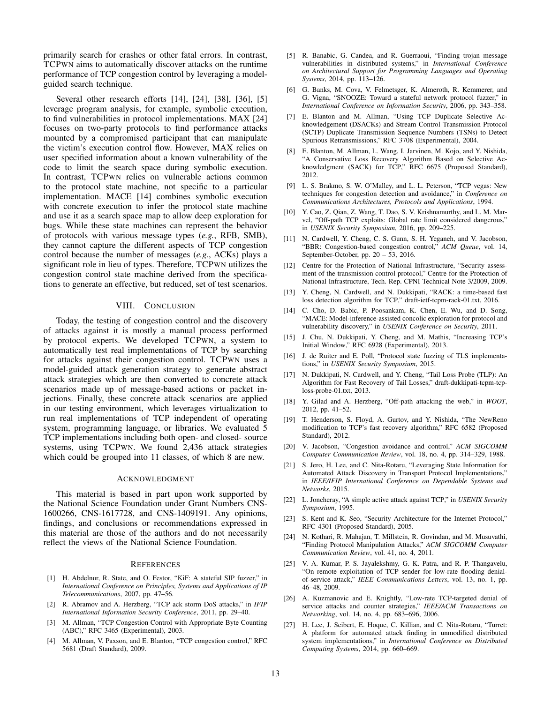primarily search for crashes or other fatal errors. In contrast, TCPWN aims to automatically discover attacks on the runtime performance of TCP congestion control by leveraging a modelguided search technique.

Several other research efforts [14], [24], [38], [36], [5] leverage program analysis, for example, symbolic execution, to find vulnerabilities in protocol implementations. MAX [24] focuses on two-party protocols to find performance attacks mounted by a compromised participant that can manipulate the victim's execution control flow. However, MAX relies on user specified information about a known vulnerability of the code to limit the search space during symbolic execution. In contrast, TCPWN relies on vulnerable actions common to the protocol state machine, not specific to a particular implementation. MACE [14] combines symbolic execution with concrete execution to infer the protocol state machine and use it as a search space map to allow deep exploration for bugs. While these state machines can represent the behavior of protocols with various message types (*e.g.*, RFB, SMB), they cannot capture the different aspects of TCP congestion control because the number of messages (*e.g.*, ACKs) plays a significant role in lieu of types. Therefore, TCPWN utilizes the congestion control state machine derived from the specifications to generate an effective, but reduced, set of test scenarios.

#### VIII. CONCLUSION

Today, the testing of congestion control and the discovery of attacks against it is mostly a manual process performed by protocol experts. We developed TCPWN, a system to automatically test real implementations of TCP by searching for attacks against their congestion control. TCPWN uses a model-guided attack generation strategy to generate abstract attack strategies which are then converted to concrete attack scenarios made up of message-based actions or packet injections. Finally, these concrete attack scenarios are applied in our testing environment, which leverages virtualization to run real implementations of TCP independent of operating system, programming language, or libraries. We evaluated 5 TCP implementations including both open- and closed- source systems, using TCPWN. We found 2,436 attack strategies which could be grouped into 11 classes, of which 8 are new.

#### ACKNOWLEDGMENT

This material is based in part upon work supported by the National Science Foundation under Grant Numbers CNS-1600266, CNS-1617728, and CNS-1409191. Any opinions, findings, and conclusions or recommendations expressed in this material are those of the authors and do not necessarily reflect the views of the National Science Foundation.

#### **REFERENCES**

- [1] H. Abdelnur, R. State, and O. Festor, "KiF: A stateful SIP fuzzer," in *International Conference on Principles, Systems and Applications of IP Telecommunications*, 2007, pp. 47–56.
- [2] R. Abramov and A. Herzberg, "TCP ack storm DoS attacks," in *IFIP International Information Security Conference*, 2011, pp. 29–40.
- [3] M. Allman, "TCP Congestion Control with Appropriate Byte Counting (ABC)," RFC 3465 (Experimental), 2003.
- [4] M. Allman, V. Paxson, and E. Blanton, "TCP congestion control," RFC 5681 (Draft Standard), 2009.
- [5] R. Banabic, G. Candea, and R. Guerraoui, "Finding trojan message vulnerabilities in distributed systems," in *International Conference on Architectural Support for Programming Languages and Operating Systems*, 2014, pp. 113–126.
- [6] G. Banks, M. Cova, V. Felmetsger, K. Almeroth, R. Kemmerer, and G. Vigna, "SNOOZE: Toward a stateful network protocol fuzzer," in *International Conference on Information Security*, 2006, pp. 343–358.
- [7] E. Blanton and M. Allman, "Using TCP Duplicate Selective Acknowledgement (DSACKs) and Stream Control Transmission Protocol (SCTP) Duplicate Transmission Sequence Numbers (TSNs) to Detect Spurious Retransmissions," RFC 3708 (Experimental), 2004.
- [8] E. Blanton, M. Allman, L. Wang, I. Jarvinen, M. Kojo, and Y. Nishida, "A Conservative Loss Recovery Algorithm Based on Selective Acknowledgment (SACK) for TCP," RFC 6675 (Proposed Standard), 2012.
- [9] L. S. Brakmo, S. W. O'Malley, and L. L. Peterson, "TCP vegas: New techniques for congestion detection and avoidance," in *Conference on Communications Architectures, Protocols and Applications*, 1994.
- [10] Y. Cao, Z. Qian, Z. Wang, T. Dao, S. V. Krishnamurthy, and L. M. Marvel, "Off-path TCP exploits: Global rate limit considered dangerous," in *USENIX Security Symposium*, 2016, pp. 209–225.
- [11] N. Cardwell, Y. Cheng, C. S. Gunn, S. H. Yeganeh, and V. Jacobson, "BBR: Congestion-based congestion control," *ACM Queue*, vol. 14, September-October, pp. 20 – 53, 2016.
- [12] Centre for the Protection of National Infrastructure, "Security assessment of the transmission control protocol," Centre for the Protection of National Infrastructure, Tech. Rep. CPNI Technical Note 3/2009, 2009.
- [13] Y. Cheng, N. Cardwell, and N. Dukkipati, "RACK: a time-based fast loss detection algorithm for TCP," draft-ietf-tcpm-rack-01.txt, 2016.
- [14] C. Cho, D. Babic, P. Poosankam, K. Chen, E. Wu, and D. Song, "MACE: Model-inference-assisted concolic exploration for protocol and vulnerability discovery," in *USENIX Conference on Security*, 2011.
- [15] J. Chu, N. Dukkipati, Y. Cheng, and M. Mathis, "Increasing TCP's Initial Window," RFC 6928 (Experimental), 2013.
- [16] J. de Ruiter and E. Poll, "Protocol state fuzzing of TLS implementations," in *USENIX Security Symposium*, 2015.
- [17] N. Dukkipati, N. Cardwell, and Y. Cheng, "Tail Loss Probe (TLP): An Algorithm for Fast Recovery of Tail Losses," draft-dukkipati-tcpm-tcploss-probe-01.txt, 2013.
- [18] Y. Gilad and A. Herzberg, "Off-path attacking the web," in *WOOT*, 2012, pp. 41–52.
- [19] T. Henderson, S. Floyd, A. Gurtov, and Y. Nishida, "The NewReno modification to TCP's fast recovery algorithm," RFC 6582 (Proposed Standard), 2012.
- [20] V. Jacobson, "Congestion avoidance and control," *ACM SIGCOMM Computer Communication Review*, vol. 18, no. 4, pp. 314–329, 1988.
- [21] S. Jero, H. Lee, and C. Nita-Rotaru, "Leveraging State Information for Automated Attack Discovery in Transport Protocol Implementations," in *IEEE/IFIP International Conference on Dependable Systems and Networks*, 2015.
- [22] L. Joncheray, "A simple active attack against TCP," in *USENIX Security Symposium*, 1995.
- [23] S. Kent and K. Seo, "Security Architecture for the Internet Protocol," RFC 4301 (Proposed Standard), 2005.
- [24] N. Kothari, R. Mahajan, T. Millstein, R. Govindan, and M. Musuvathi, "Finding Protocol Manipulation Attacks," *ACM SIGCOMM Computer Communication Review*, vol. 41, no. 4, 2011.
- [25] V. A. Kumar, P. S. Jayalekshmy, G. K. Patra, and R. P. Thangavelu, "On remote exploitation of TCP sender for low-rate flooding denialof-service attack," *IEEE Communications Letters*, vol. 13, no. 1, pp. 46–48, 2009.
- [26] A. Kuzmanovic and E. Knightly, "Low-rate TCP-targeted denial of service attacks and counter strategies," *IEEE/ACM Transactions on Networking*, vol. 14, no. 4, pp. 683–696, 2006.
- [27] H. Lee, J. Seibert, E. Hoque, C. Killian, and C. Nita-Rotaru, "Turret: A platform for automated attack finding in unmodified distributed system implementations," in *International Conference on Distributed Computing Systems*, 2014, pp. 660–669.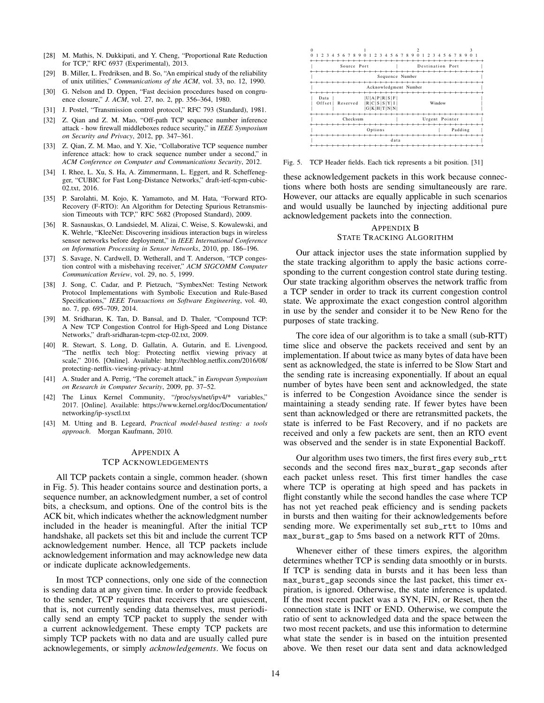- [28] M. Mathis, N. Dukkipati, and Y. Cheng, "Proportional Rate Reduction for TCP," RFC 6937 (Experimental), 2013.
- [29] B. Miller, L. Fredriksen, and B. So, "An empirical study of the reliability of unix utilities," *Communications of the ACM*, vol. 33, no. 12, 1990.
- [30] G. Nelson and D. Oppen, "Fast decision procedures based on congruence closure," *J. ACM*, vol. 27, no. 2, pp. 356–364, 1980.
- [31] J. Postel, "Transmission control protocol," RFC 793 (Standard), 1981.
- [32] Z. Qian and Z. M. Mao, "Off-path TCP sequence number inference attack - how firewall middleboxes reduce security," in *IEEE Symposium on Security and Privacy*, 2012, pp. 347–361.
- [33] Z. Qian, Z. M. Mao, and Y. Xie, "Collaborative TCP sequence number inference attack: how to crack sequence number under a second," in *ACM Conference on Computer and Communications Security*, 2012.
- [34] I. Rhee, L. Xu, S. Ha, A. Zimmermann, L. Eggert, and R. Scheffenegger, "CUBIC for Fast Long-Distance Networks," draft-ietf-tcpm-cubic-02.txt, 2016.
- [35] P. Sarolahti, M. Kojo, K. Yamamoto, and M. Hata, "Forward RTO-Recovery (F-RTO): An Algorithm for Detecting Spurious Retransmission Timeouts with TCP," RFC 5682 (Proposed Standard), 2009.
- [36] R. Sasnauskas, O. Landsiedel, M. Alizai, C. Weise, S. Kowalewski, and K. Wehrle, "KleeNet: Discovering insidious interaction bugs in wireless sensor networks before deployment," in *IEEE International Conference on Information Processing in Sensor Networks*, 2010, pp. 186–196.
- [37] S. Savage, N. Cardwell, D. Wetherall, and T. Anderson, "TCP congestion control with a misbehaving receiver," *ACM SIGCOMM Computer Communication Review*, vol. 29, no. 5, 1999.
- [38] J. Song, C. Cadar, and P. Pietzuch, "SymbexNet: Testing Network Protocol Implementations with Symbolic Execution and Rule-Based Specifications," *IEEE Transactions on Software Engineering*, vol. 40, no. 7, pp. 695–709, 2014.
- [39] M. Sridharan, K. Tan, D. Bansal, and D. Thaler, "Compound TCP: A New TCP Congestion Control for High-Speed and Long Distance Networks," draft-sridharan-tcpm-ctcp-02.txt, 2009.
- [40] R. Stewart, S. Long, D. Gallatin, A. Gutarin, and E. Livengood, "The netflix tech blog: Protecting netflix viewing privacy at scale," 2016. [Online]. Available: http://techblog.netflix.com/2016/08/ protecting-netflix-viewing-privacy-at.html
- [41] A. Studer and A. Perrig, "The coremelt attack," in *European Symposium on Research in Computer Security*, 2009, pp. 37–52.
- [42] The Linux Kernel Community, "/proc/sys/net/ipv4/\* variables," 2017. [Online]. Available: https://www.kernel.org/doc/Documentation/ networking/ip-sysctl.txt
- [43] M. Utting and B. Legeard, *Practical model-based testing: a tools approach*. Morgan Kaufmann, 2010.

# APPENDIX A TCP ACKNOWLEDGEMENTS

All TCP packets contain a single, common header. (shown in Fig. 5). This header contains source and destination ports, a sequence number, an acknowledgment number, a set of control bits, a checksum, and options. One of the control bits is the ACK bit, which indicates whether the acknowledgment number included in the header is meaningful. After the initial TCP handshake, all packets set this bit and include the current TCP acknowledgement number. Hence, all TCP packets include acknowledgement information and may acknowledge new data or indicate duplicate acknowledgements.

In most TCP connections, only one side of the connection is sending data at any given time. In order to provide feedback to the sender, TCP requires that receivers that are quiescent, that is, not currently sending data themselves, must periodically send an empty TCP packet to supply the sender with a current acknowledgement. These empty TCP packets are simply TCP packets with no data and are usually called pure acknowlegements, or simply *acknowledgements*. We focus on



Fig. 5. TCP Header fields. Each tick represents a bit position. [31]

these acknowledgement packets in this work because connections where both hosts are sending simultaneously are rare. However, our attacks are equally applicable in such scenarios and would usually be launched by injecting additional pure acknowledgement packets into the connection.

# APPENDIX B STATE TRACKING ALGORITHM

Our attack injector uses the state information supplied by the state tracking algorithm to apply the basic actions corresponding to the current congestion control state during testing. Our state tracking algorithm observes the network traffic from a TCP sender in order to track its current congestion control state. We approximate the exact congestion control algorithm in use by the sender and consider it to be New Reno for the purposes of state tracking.

The core idea of our algorithm is to take a small (sub-RTT) time slice and observe the packets received and sent by an implementation. If about twice as many bytes of data have been sent as acknowledged, the state is inferred to be Slow Start and the sending rate is increasing exponentially. If about an equal number of bytes have been sent and acknowledged, the state is inferred to be Congestion Avoidance since the sender is maintaining a steady sending rate. If fewer bytes have been sent than acknowledged or there are retransmitted packets, the state is inferred to be Fast Recovery, and if no packets are received and only a few packets are sent, then an RTO event was observed and the sender is in state Exponential Backoff.

Our algorithm uses two timers, the first fires every sub\_rtt seconds and the second fires max\_burst\_gap seconds after each packet unless reset. This first timer handles the case where TCP is operating at high speed and has packets in flight constantly while the second handles the case where TCP has not yet reached peak efficiency and is sending packets in bursts and then waiting for their acknowledgements before sending more. We experimentally set sub\_rtt to 10ms and max\_burst\_gap to 5ms based on a network RTT of 20ms.

Whenever either of these timers expires, the algorithm determines whether TCP is sending data smoothly or in bursts. If TCP is sending data in bursts and it has been less than max\_burst\_gap seconds since the last packet, this timer expiration, is ignored. Otherwise, the state inference is updated. If the most recent packet was a SYN, FIN, or Reset, then the connection state is INIT or END. Otherwise, we compute the ratio of sent to acknowledged data and the space between the two most recent packets, and use this information to determine what state the sender is in based on the intuition presented above. We then reset our data sent and data acknowledged